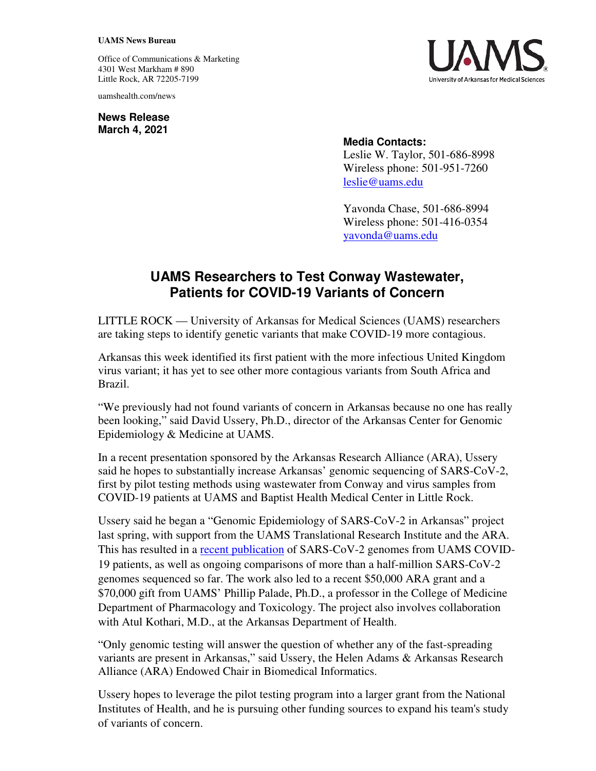## **UAMS News Bureau**

Office of Communications & Marketing 4301 West Markham # 890 Little Rock, AR 72205-7199

uamshealth.com/news

**News Release March 4, 2021**



## **Media Contacts:**

Leslie W. Taylor, 501-686-8998 Wireless phone: 501-951-7260 [leslie@uams.edu](mailto:leslie@uams.edu)

Yavonda Chase, 501-686-8994 Wireless phone: 501-416-0354 [yavonda@uams.edu](mailto:yavonda@uams.edu) 

## **UAMS Researchers to Test Conway Wastewater, Patients for COVID-19 Variants of Concern**

LITTLE ROCK — University of Arkansas for Medical Sciences (UAMS) researchers are taking steps to identify genetic variants that make COVID-19 more contagious.

Arkansas this week identified its first patient with the more infectious United Kingdom virus variant; it has yet to see other more contagious variants from South Africa and Brazil.

"We previously had not found variants of concern in Arkansas because no one has really been looking," said David Ussery, Ph.D., director of the Arkansas Center for Genomic Epidemiology & Medicine at UAMS.

In a recent presentation sponsored by the Arkansas Research Alliance (ARA), Ussery said he hopes to substantially increase Arkansas' genomic sequencing of SARS-CoV-2, first by pilot testing methods using wastewater from Conway and virus samples from COVID-19 patients at UAMS and Baptist Health Medical Center in Little Rock.

Ussery said he began a "Genomic Epidemiology of SARS-CoV-2 in Arkansas" project last spring, with support from the UAMS Translational Research Institute and the ARA. This has resulted in a [recent publication](https://doi.org/10.1128/MRA.01109-20) of SARS-CoV-2 genomes from UAMS COVID-19 patients, as well as ongoing comparisons of more than a half-million SARS-CoV-2 genomes sequenced so far. The work also led to a recent \$50,000 ARA grant and a \$70,000 gift from UAMS' Phillip Palade, Ph.D., a professor in the College of Medicine Department of Pharmacology and Toxicology. The project also involves collaboration with Atul Kothari, M.D., at the Arkansas Department of Health.

"Only genomic testing will answer the question of whether any of the fast-spreading variants are present in Arkansas," said Ussery, the Helen Adams & Arkansas Research Alliance (ARA) Endowed Chair in Biomedical Informatics.

Ussery hopes to leverage the pilot testing program into a larger grant from the National Institutes of Health, and he is pursuing other funding sources to expand his team's study of variants of concern.